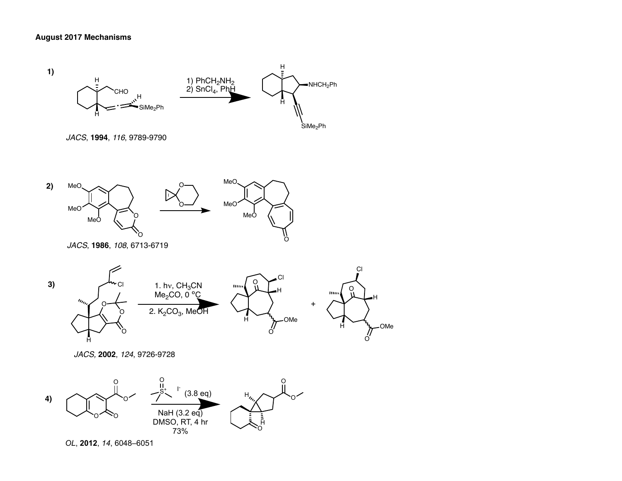

*OL*, **2012**, *14*, 6048–6051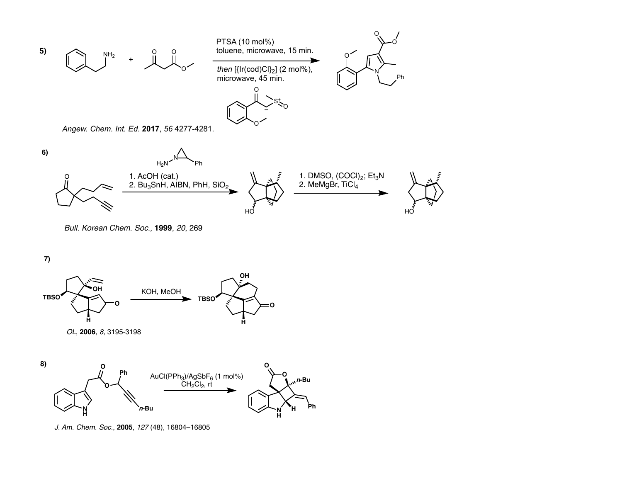

*Bull. Korean Chem. Soc.,* **1999**, *20*, 269

**7)**





*J. Am. Chem. Soc.*, **2005**, *127* (48), 16804–16805